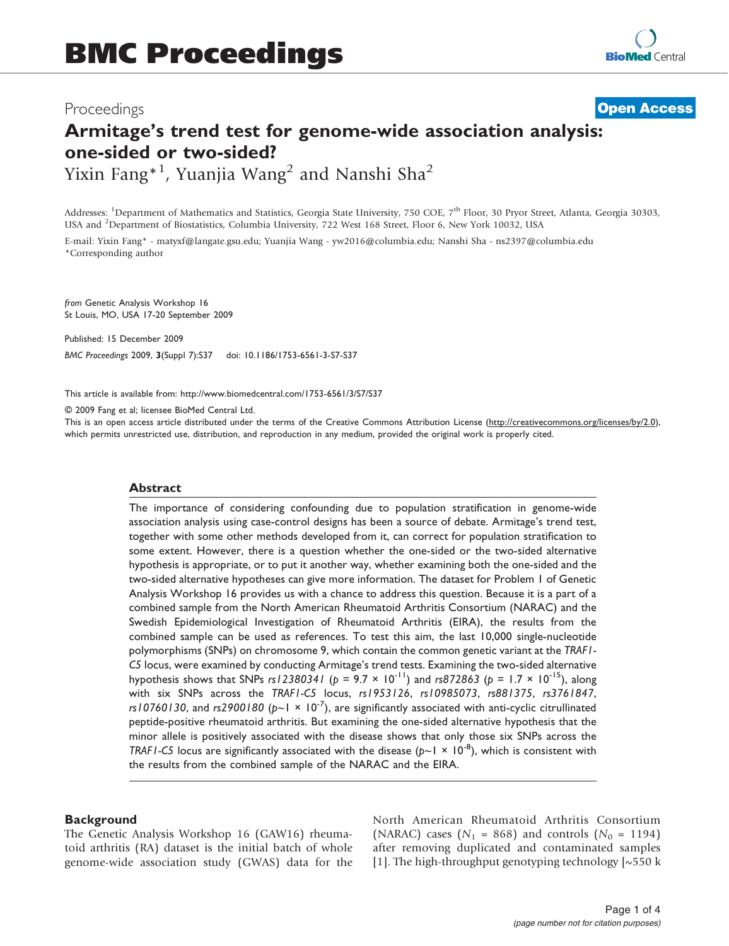# Proceedings

# Armitage's trend test for genome-wide association analysis: one-sided or two-sided? Yixin Fang $^{\ast\,1}$ , Yuanjia Wang $^2$  and Nanshi Sha $^2$ **[Open Access](http://www.biomedcentral.com/info/about/charter/)**

Addresses: <sup>1</sup>Department of Mathematics and Statistics, Georgia State University, 750 COE, 7<sup>th</sup> Floor, 30 Pryor Street, Atlanta, Georgia 30303, USA and <sup>2</sup>Department of Biostatistics, Columbia University, 722 West 168 Street, Floor 6, New York 10032, USA

E-mail: Yixin Fang\* - [matyxf@langate.gsu.edu;](mailto:matyxf@langate.gsu.edu) Yuanjia Wang - [yw2016@columbia.edu](mailto:yw2016@columbia.edu); Nanshi Sha - [ns2397@columbia.edu](mailto:ns2397@columbia.edu) \*Corresponding author

from Genetic Analysis Workshop 16 St Louis, MO, USA 17-20 September 2009

Published: 15 December 2009 BMC Proceedings 2009, 3(Suppl 7):S37 doi: 10.1186/1753-6561-3-S7-S37

This article is available from: http://www.biomedcentral.com/1753-6561/3/S7/S37

© 2009 Fang et al; licensee BioMed Central Ltd.

This is an open access article distributed under the terms of the Creative Commons Attribution License [\(http://creativecommons.org/licenses/by/2.0\)](http://creativecommons.org/licenses/by/2.0), which permits unrestricted use, distribution, and reproduction in any medium, provided the original work is properly cited.

# Abstract

The importance of considering confounding due to population stratification in genome-wide association analysis using case-control designs has been a source of debate. Armitage's trend test, together with some other methods developed from it, can correct for population stratification to some extent. However, there is a question whether the one-sided or the two-sided alternative hypothesis is appropriate, or to put it another way, whether examining both the one-sided and the two-sided alternative hypotheses can give more information. The dataset for Problem 1 of Genetic Analysis Workshop 16 provides us with a chance to address this question. Because it is a part of a combined sample from the North American Rheumatoid Arthritis Consortium (NARAC) and the Swedish Epidemiological Investigation of Rheumatoid Arthritis (EIRA), the results from the combined sample can be used as references. To test this aim, the last 10,000 single-nucleotide polymorphisms (SNPs) on chromosome 9, which contain the common genetic variant at the TRAF1- C5 locus, were examined by conducting Armitage's trend tests. Examining the two-sided alternative hypothesis shows that SNPs rs12380341 ( $p = 9.7 \times 10^{-11}$ ) and rs872863 ( $p = 1.7 \times 10^{-15}$ ), along with six SNPs across the TRAF1-C5 locus, rs1953126, rs10985073, rs881375, rs3761847, rs10760130, and rs2900180 ( $p \sim 1 \times 10^{-7}$ ), are significantly associated with anti-cyclic citrullinated peptide-positive rheumatoid arthritis. But examining the one-sided alternative hypothesis that the minor allele is positively associated with the disease shows that only those six SNPs across the TRAF1-C5 locus are significantly associated with the disease ( $p \sim 1 \times 10^{-8}$ ), which is consistent with the results from the combined sample of the NARAC and the EIRA.

# **Background**

The Genetic Analysis Workshop 16 (GAW16) rheumatoid arthritis (RA) dataset is the initial batch of whole genome-wide association study (GWAS) data for the North American Rheumatoid Arthritis Consortium (NARAC) cases ( $N_1$  = 868) and controls ( $N_0$  = 1194) after removing duplicated and contaminated samples [[1](#page-3-0)]. The high-throughput genotyping technology  $\sim$  550 k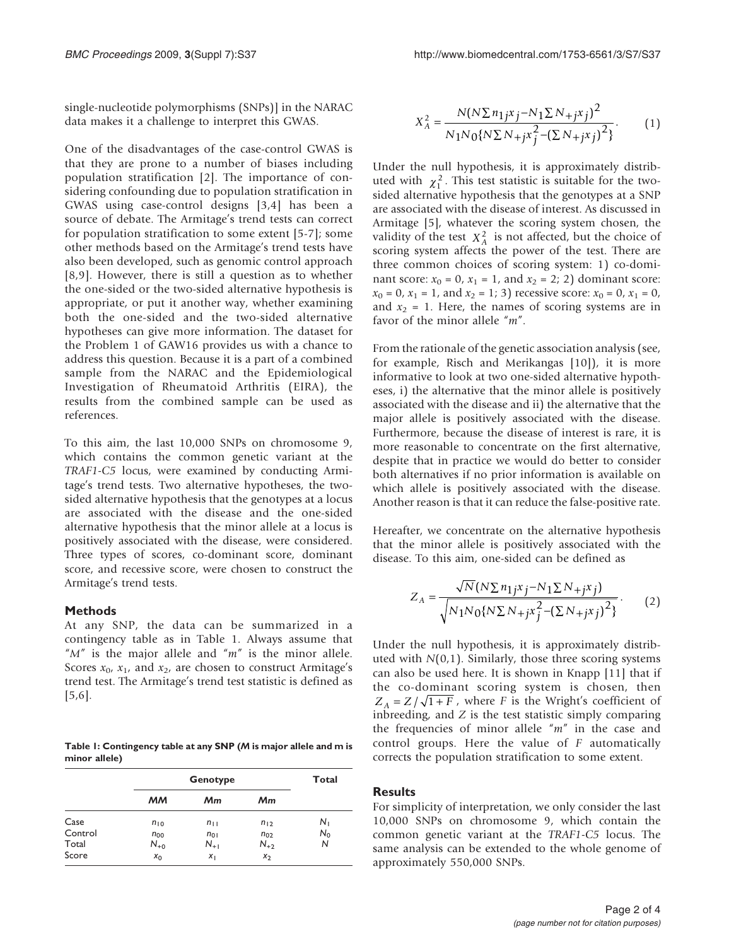single-nucleotide polymorphisms (SNPs)] in the NARAC data makes it a challenge to interpret this GWAS.

One of the disadvantages of the case-control GWAS is that they are prone to a number of biases including population stratification [[2](#page-3-0)]. The importance of considering confounding due to population stratification in GWAS using case-control designs [\[3,4](#page-3-0)] has been a source of debate. The Armitage's trend tests can correct for population stratification to some extent [[5](#page-3-0)-[7](#page-3-0)]; some other methods based on the Armitage's trend tests have also been developed, such as genomic control approach [[8](#page-3-0),[9](#page-3-0)]. However, there is still a question as to whether the one-sided or the two-sided alternative hypothesis is appropriate, or put it another way, whether examining both the one-sided and the two-sided alternative hypotheses can give more information. The dataset for the Problem 1 of GAW16 provides us with a chance to address this question. Because it is a part of a combined sample from the NARAC and the Epidemiological Investigation of Rheumatoid Arthritis (EIRA), the results from the combined sample can be used as references.

To this aim, the last 10,000 SNPs on chromosome 9, which contains the common genetic variant at the TRAF1-C5 locus, were examined by conducting Armitage's trend tests. Two alternative hypotheses, the twosided alternative hypothesis that the genotypes at a locus are associated with the disease and the one-sided alternative hypothesis that the minor allele at a locus is positively associated with the disease, were considered. Three types of scores, co-dominant score, dominant score, and recessive score, were chosen to construct the Armitage's trend tests.

#### Methods

At any SNP, the data can be summarized in a contingency table as in Table 1. Always assume that " $M''$  is the major allele and " $m''$  is the minor allele. Scores  $x_0$ ,  $x_1$ , and  $x_2$ , are chosen to construct Armitage's trend test. The Armitage's trend test statistic is defined as [[5](#page-3-0),[6](#page-3-0)].

Table 1: Contingency table at any SNP (M is major allele and m is minor allele)

|         |          | Total    |          |         |
|---------|----------|----------|----------|---------|
|         | мм       | Mm       | Мm       |         |
| Case    | $n_{10}$ | $n_{11}$ | $n_{12}$ | $N_{1}$ |
| Control | $n_{00}$ | $n_{01}$ | $n_{02}$ | $N_0$   |
| Total   | $N_{+0}$ | $N_{+1}$ | $N_{+2}$ | Ν       |
| Score   | $x_0$    | Χı       | $x_2$    |         |

$$
X_A^2 = \frac{N(N\Sigma n_{1j}x_j - N_1\Sigma N_{+j}x_j)^2}{N_1N_0\{N\Sigma N_{+j}x_j^2 - (\Sigma N_{+j}x_j)^2\}}.
$$
 (1)

Under the null hypothesis, it is approximately distributed with  $\chi_1^2$ . This test statistic is suitable for the twosided alternative hypothesis that the genotypes at a SNP are associated with the disease of interest. As discussed in Armitage [\[5\]](#page-3-0), whatever the scoring system chosen, the validity of the test  $X_A^2$  is not affected, but the choice of scoring system affects the power of the test. There are three common choices of scoring system: 1) co-dominant score:  $x_0 = 0$ ,  $x_1 = 1$ , and  $x_2 = 2$ ; 2) dominant score:  $x_0 = 0$ ,  $x_1 = 1$ , and  $x_2 = 1$ ; 3) recessive score:  $x_0 = 0$ ,  $x_1 = 0$ , and  $x_2 = 1$ . Here, the names of scoring systems are in favor of the minor allele "m".

From the rationale of the genetic association analysis (see, for example, Risch and Merikangas [[10\]](#page-3-0)), it is more informative to look at two one-sided alternative hypotheses, i) the alternative that the minor allele is positively associated with the disease and ii) the alternative that the major allele is positively associated with the disease. Furthermore, because the disease of interest is rare, it is more reasonable to concentrate on the first alternative, despite that in practice we would do better to consider both alternatives if no prior information is available on which allele is positively associated with the disease. Another reason is that it can reduce the false-positive rate.

Hereafter, we concentrate on the alternative hypothesis that the minor allele is positively associated with the disease. To this aim, one-sided can be defined as

$$
Z_{A} = \frac{\sqrt{N}(N\sum n_{1j}x_{j} - N_{1}\sum N_{+j}x_{j})}{\sqrt{N_{1}N_{0}\{N\sum N_{+j}x_{j}^{2} - (\sum N_{+j}x_{j})^{2}\}}}.
$$
 (2)

Under the null hypothesis, it is approximately distributed with  $N(0,1)$ . Similarly, those three scoring systems can also be used here. It is shown in Knapp [\[11](#page-3-0)] that if the co-dominant scoring system is chosen, then  $Z_A = Z/\sqrt{1 + F}$ , where *F* is the Wright's coefficient of inbreeding, and  $Z$  is the test statistic simply comparing the frequencies of minor allele " $m$ " in the case and control groups. Here the value of F automatically corrects the population stratification to some extent.

## **Results**

For simplicity of interpretation, we only consider the last 10,000 SNPs on chromosome 9, which contain the common genetic variant at the TRAF1-C5 locus. The same analysis can be extended to the whole genome of approximately 550,000 SNPs.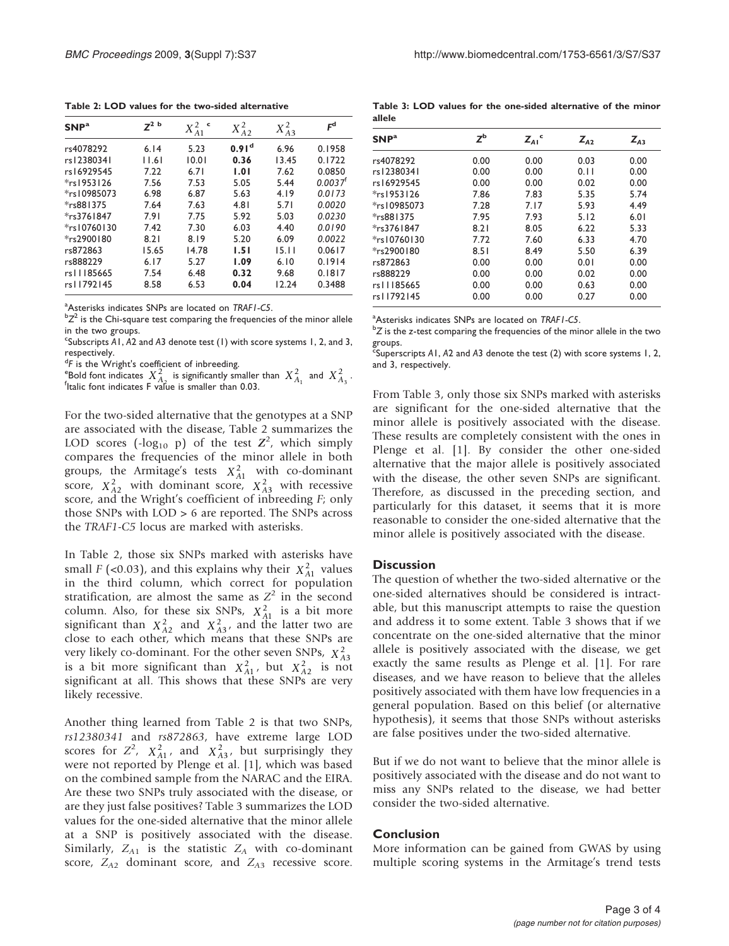Table 2: LOD values for the two-sided alternative

| SNP <sup>a</sup> | $7^2$ b | X <sub>4</sub> <sup>2</sup><br>c | $X_{A2}^2$        | $X_{A3}^2$ | $F^d$                 |
|------------------|---------|----------------------------------|-------------------|------------|-----------------------|
| rs4078292        | 6.14    | 5.23                             | 0.91 <sup>d</sup> | 6.96       | 0.1958                |
| rs12380341       | 1.6     | 10.01                            | 0.36              | 13.45      | 0.1722                |
| rs16929545       | 7.22    | 6.71                             | 1.01              | 7.62       | 0.0850                |
| $*$ rs 1953126   | 7.56    | 7.53                             | 5.05              | 5.44       | $0.0037$ <sup>f</sup> |
| *rs10985073      | 6.98    | 6.87                             | 5.63              | 4.19       | 0.0173                |
| *rs881375        | 7.64    | 7.63                             | 4.81              | 5.71       | 0.0020                |
| $*$ rs3761847    | 7.91    | 7.75                             | 5.92              | 5.03       | 0.0230                |
| *rs10760130      | 7.42    | 7.30                             | 6.03              | 4.40       | 0.0190                |
| *rs2900180       | 8.21    | 8.19                             | 5.20              | 6.09       | 0.0022                |
| rs872863         | 15.65   | 14.78                            | 1.51              | 15.11      | 0.0617                |
| rs888229         | 6.17    | 5.27                             | 1.09              | 6.10       | 0.1914                |
| rs11185665       | 7.54    | 6.48                             | 0.32              | 9.68       | 0.1817                |
| rs11792145       | 8.58    | 6.53                             | 0.04              | 12.24      | 0.3488                |

<sup>a</sup> Asterisks indicates SNPs are located on *TRAF1-C5*.<br> $bZ^2$  is the Chi square test comparing the frequencies

 ${}^{b}Z^{2}$  is the Chi-square test comparing the frequencies of the minor allele in the two groups.

 $\cdot$ Subscripts A1, A2 and A3 denote test (1) with score systems 1, 2, and 3, respectively.

<sup>d</sup>F is the Wright's coefficient of inbreeding.

<sup>a</sup>F is the Wright's coefficient of inbreeding.<br>"Bold font indicates  $X_{A_2}^2$  is significantly smaller than  $X_{A_1}^2$  and  $X_{A_3}^2$ .

For the two-sided alternative that the genotypes at a SNP are associated with the disease, Table 2 summarizes the LOD scores ( $-log_{10}$  p) of the test  $Z^2$ , which simply compares the frequencies of the minor allele in both groups, the Armitage's tests  $X_{A1}^2$  with co-dominant score,  $X_{A2}^2$  with dominant score,  $X_{A3}^2$  with recessive score, and the Wright's coefficient of inbreeding F; only those SNPs with LOD > 6 are reported. The SNPs across the TRAF1-C5 locus are marked with asterisks.

In Table 2, those six SNPs marked with asterisks have small  $F$  (<0.03), and this explains why their  $X_{A1}^2$  values in the third column, which correct for population stratification, are almost the same as  $Z^2$  in the second column. Also, for these six SNPs,  $X_{A1}^2$  is a bit more significant than  $X_{A2}^2$  and  $X_{A3}^2$ , and the latter two are close to each other, which means that these SNPs are very likely co-dominant. For the other seven SNPs, *X <sup>A</sup>*<sup>3</sup> 2 is a bit more significant than  $X_{A1}^2$ , but  $X_{A2}^2$  is not significant at all. This shows that these SNPs are very likely recessive.

Another thing learned from Table 2 is that two SNPs, rs12380341 and rs872863, have extreme large LOD scores for  $Z^2$ ,  $X_{A1}^2$ , and  $X_{A3}^2$ , but surprisingly they were not reported by Plenge et al. [[1](#page-3-0)], which was based on the combined sample from the NARAC and the EIRA. Are these two SNPs truly associated with the disease, or are they just false positives? Table 3 summarizes the LOD values for the one-sided alternative that the minor allele at a SNP is positively associated with the disease. Similarly,  $Z_{A1}$  is the statistic  $Z_A$  with co-dominant score,  $Z_{A2}$  dominant score, and  $Z_{A3}$  recessive score.

Table 3: LOD values for the one-sided alternative of the minor allele

| SNP <sup>a</sup> | $Z^{\rm b}$ | $Z_{AI}$ <sup>c</sup> | $Z_{A2}$ | $Z_{43}$ |
|------------------|-------------|-----------------------|----------|----------|
| rs4078292        | 0.00        | 0.00                  | 0.03     | 0.00     |
| rs12380341       | 0.00        | 0.00                  | 0.11     | 0.00     |
| rs16929545       | 0.00        | 0.00                  | 0.02     | 0.00     |
| $*$ rs 1953 126  | 7.86        | 7.83                  | 5.35     | 5.74     |
| *rs10985073      | 7.28        | 7.17                  | 5.93     | 4.49     |
| *rs881375        | 7.95        | 7.93                  | 5.12     | 6.01     |
| $*$ rs3761847    | 8.21        | 8.05                  | 6.22     | 5.33     |
| *rs10760130      | 7.72        | 7.60                  | 6.33     | 4.70     |
| *rs2900180       | 8.51        | 8.49                  | 5.50     | 6.39     |
| rs872863         | 0.00        | 0.00                  | 0.01     | 0.00     |
| rs888229         | 0.00        | 0.00                  | 0.02     | 0.00     |
| rs11185665       | 0.00        | 0.00                  | 0.63     | 0.00     |
| rs11792145       | 0.00        | 0.00                  | 0.27     | 0.00     |

<sup>a</sup> Asterisks indicates SNPs are located on TRAF1-C5.<br><sup>b</sup>Z is the z test comparing the frequencies of the mi

 ${}^{b}Z$  is the z-test comparing the frequencies of the minor allele in the two groups.

 $\epsilon$ Superscripts A1, A2 and A3 denote the test (2) with score systems 1, 2, and 3, respectively.

From Table 3, only those six SNPs marked with asterisks are significant for the one-sided alternative that the minor allele is positively associated with the disease. These results are completely consistent with the ones in Plenge et al. [\[1\]](#page-3-0). By consider the other one-sided alternative that the major allele is positively associated with the disease, the other seven SNPs are significant. Therefore, as discussed in the preceding section, and particularly for this dataset, it seems that it is more reasonable to consider the one-sided alternative that the minor allele is positively associated with the disease.

#### **Discussion**

The question of whether the two-sided alternative or the one-sided alternatives should be considered is intractable, but this manuscript attempts to raise the question and address it to some extent. Table 3 shows that if we concentrate on the one-sided alternative that the minor allele is positively associated with the disease, we get exactly the same results as Plenge et al. [[1](#page-3-0)]. For rare diseases, and we have reason to believe that the alleles positively associated with them have low frequencies in a general population. Based on this belief (or alternative hypothesis), it seems that those SNPs without asterisks are false positives under the two-sided alternative.

But if we do not want to believe that the minor allele is positively associated with the disease and do not want to miss any SNPs related to the disease, we had better consider the two-sided alternative.

# Conclusion

More information can be gained from GWAS by using multiple scoring systems in the Armitage's trend tests